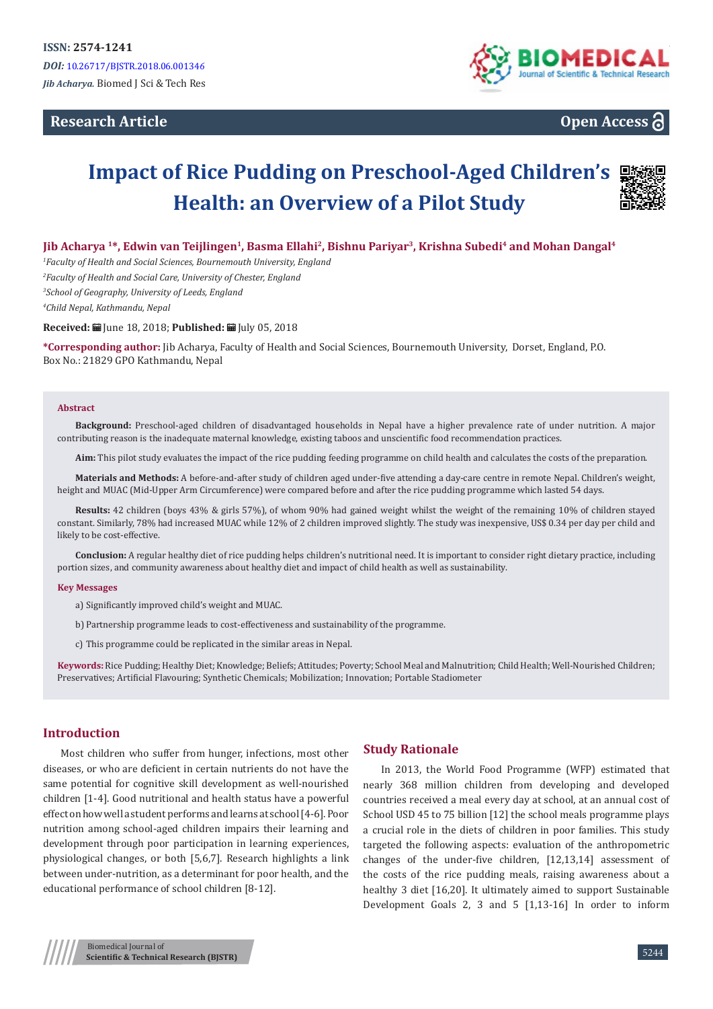# **Research Article**



# **Open Access**

# **Impact of Rice Pudding on Preschool-Aged Children's Health: an Overview of a Pilot Study**



**Jib Acharya 1\*, Edwin van Teijlingen1, Basma Ellahi2, Bishnu Pariyar3, Krishna Subedi4 and Mohan Dangal4**

 *Faculty of Health and Social Sciences, Bournemouth University, England Faculty of Health and Social Care, University of Chester, England School of Geography, University of Leeds, England Child Nepal, Kathmandu, Nepal*

**Received:** June 18, 2018; **Published:** July 05, 2018

**\*Corresponding author:** Jib Acharya, Faculty of Health and Social Sciences, Bournemouth University, Dorset, England, P.O. Box No.: 21829 GPO Kathmandu, Nepal

#### **Abstract**

**Background:** Preschool-aged children of disadvantaged households in Nepal have a higher prevalence rate of under nutrition. A major contributing reason is the inadequate maternal knowledge, existing taboos and unscientific food recommendation practices.

**Aim:** This pilot study evaluates the impact of the rice pudding feeding programme on child health and calculates the costs of the preparation.

**Materials and Methods:** A before-and-after study of children aged under-five attending a day-care centre in remote Nepal. Children's weight, height and MUAC (Mid-Upper Arm Circumference) were compared before and after the rice pudding programme which lasted 54 days.

**Results:** 42 children (boys 43% & girls 57%), of whom 90% had gained weight whilst the weight of the remaining 10% of children stayed constant. Similarly, 78% had increased MUAC while 12% of 2 children improved slightly. The study was inexpensive, US\$ 0.34 per day per child and likely to be cost-effective.

**Conclusion:** A regular healthy diet of rice pudding helps children's nutritional need. It is important to consider right dietary practice, including portion sizes, and community awareness about healthy diet and impact of child health as well as sustainability.

#### **Key Messages**

a) Significantly improved child's weight and MUAC.

b) Partnership programme leads to cost-effectiveness and sustainability of the programme.

c) This programme could be replicated in the similar areas in Nepal.

**Keywords:** Rice Pudding; Healthy Diet; Knowledge; Beliefs; Attitudes; Poverty; School Meal and Malnutrition; Child Health; Well-Nourished Children; Preservatives; Artificial Flavouring; Synthetic Chemicals; Mobilization; Innovation; Portable Stadiometer

# **Introduction**

Most children who suffer from hunger, infections, most other diseases, or who are deficient in certain nutrients do not have the same potential for cognitive skill development as well-nourished children [1-4]. Good nutritional and health status have a powerful effect on how well a student performs and learns at school [4-6]. Poor nutrition among school-aged children impairs their learning and development through poor participation in learning experiences, physiological changes, or both [5,6,7]. Research highlights a link between under-nutrition, as a determinant for poor health, and the educational performance of school children [8-12].

## **Study Rationale**

In 2013, the World Food Programme (WFP) estimated that nearly 368 million children from developing and developed countries received a meal every day at school, at an annual cost of School USD 45 to 75 billion [12] the school meals programme plays a crucial role in the diets of children in poor families. This study targeted the following aspects: evaluation of the anthropometric changes of the under-five children, [12,13,14] assessment of the costs of the rice pudding meals, raising awareness about a healthy 3 diet [16,20]. It ultimately aimed to support Sustainable Development Goals 2, 3 and 5 [1,13-16] In order to inform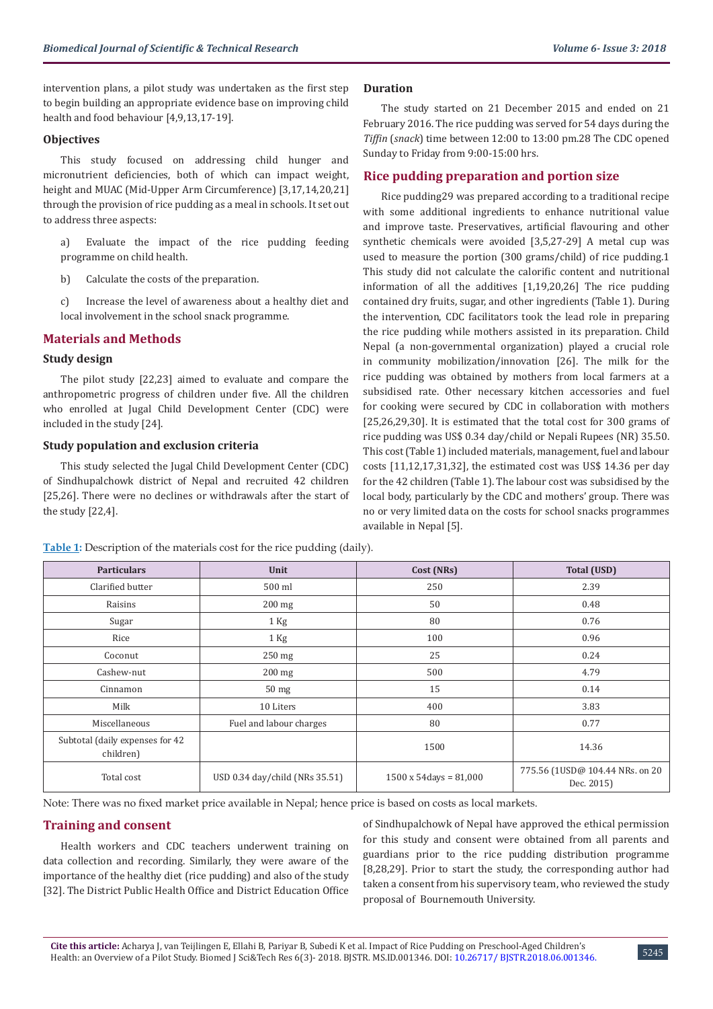intervention plans, a pilot study was undertaken as the first step to begin building an appropriate evidence base on improving child health and food behaviour [4,9,13,17-19].

# **Objectives**

This study focused on addressing child hunger and micronutrient deficiencies, both of which can impact weight, height and MUAC (Mid-Upper Arm Circumference) [3,17,14,20,21] through the provision of rice pudding as a meal in schools. It set out to address three aspects:

- a) Evaluate the impact of the rice pudding feeding programme on child health.
- b) Calculate the costs of the preparation.
- c) Increase the level of awareness about a healthy diet and local involvement in the school snack programme.

# **Materials and Methods**

# **Study design**

The pilot study [22,23] aimed to evaluate and compare the anthropometric progress of children under five. All the children who enrolled at Jugal Child Development Center (CDC) were included in the study [24].

# **Study population and exclusion criteria**

This study selected the Jugal Child Development Center (CDC) of Sindhupalchowk district of Nepal and recruited 42 children [25,26]. There were no declines or withdrawals after the start of the study [22,4].

# **Duration**

The study started on 21 December 2015 and ended on 21 February 2016. The rice pudding was served for 54 days during the *Tiffin* (*snack*) time between 12:00 to 13:00 pm.28 The CDC opened Sunday to Friday from 9:00-15:00 hrs.

# **Rice pudding preparation and portion size**

Rice pudding29 was prepared according to a traditional recipe with some additional ingredients to enhance nutritional value and improve taste. Preservatives, artificial flavouring and other synthetic chemicals were avoided [3,5,27-29] A metal cup was used to measure the portion (300 grams/child) of rice pudding.1 This study did not calculate the calorific content and nutritional information of all the additives [1,19,20,26] The rice pudding contained dry fruits, sugar, and other ingredients (Table 1). During the intervention, CDC facilitators took the lead role in preparing the rice pudding while mothers assisted in its preparation. Child Nepal (a non-governmental organization) played a crucial role in community mobilization/innovation [26]. The milk for the rice pudding was obtained by mothers from local farmers at a subsidised rate. Other necessary kitchen accessories and fuel for cooking were secured by CDC in collaboration with mothers [25,26,29,30]. It is estimated that the total cost for 300 grams of rice pudding was US\$ 0.34 day/child or Nepali Rupees (NR) 35.50. This cost (Table 1) included materials, management, fuel and labour costs [11,12,17,31,32], the estimated cost was US\$ 14.36 per day for the 42 children (Table 1). The labour cost was subsidised by the local body, particularly by the CDC and mothers' group. There was no or very limited data on the costs for school snacks programmes available in Nepal [5].

| <b>Particulars</b>                           | Unit                           | Cost (NRs)                     | <b>Total (USD)</b>                            |  |
|----------------------------------------------|--------------------------------|--------------------------------|-----------------------------------------------|--|
| Clarified butter                             | 500 ml                         | 250                            | 2.39                                          |  |
| Raisins                                      | $200$ mg                       | 50                             | 0.48                                          |  |
| Sugar                                        | $1$ Kg                         | 80                             | 0.76                                          |  |
| Rice                                         | $1$ Kg                         | 100                            | 0.96                                          |  |
| Coconut                                      | 250 mg                         | 25                             | 0.24                                          |  |
| Cashew-nut                                   | $200$ mg                       | 500                            | 4.79                                          |  |
| Cinnamon                                     | $50$ mg                        | 15                             | 0.14                                          |  |
| Milk                                         | 10 Liters                      | 400                            | 3.83                                          |  |
| Miscellaneous                                | Fuel and labour charges        | 80                             | 0.77                                          |  |
| Subtotal (daily expenses for 42<br>children) |                                | 1500                           | 14.36                                         |  |
| Total cost                                   | USD 0.34 day/child (NRs 35.51) | $1500 \times 54$ days = 81,000 | 775.56 (1USD@ 104.44 NRs. on 20<br>Dec. 2015) |  |

**Table 1:** Description of the materials cost for the rice pudding (daily).

Note: There was no fixed market price available in Nepal; hence price is based on costs as local markets.

# **Training and consent**

Health workers and CDC teachers underwent training on data collection and recording. Similarly, they were aware of the importance of the healthy diet (rice pudding) and also of the study [32]. The District Public Health Office and District Education Office of Sindhupalchowk of Nepal have approved the ethical permission for this study and consent were obtained from all parents and guardians prior to the rice pudding distribution programme [8,28,29]. Prior to start the study, the corresponding author had taken a consent from his supervisory team, who reviewed the study proposal of Bournemouth University.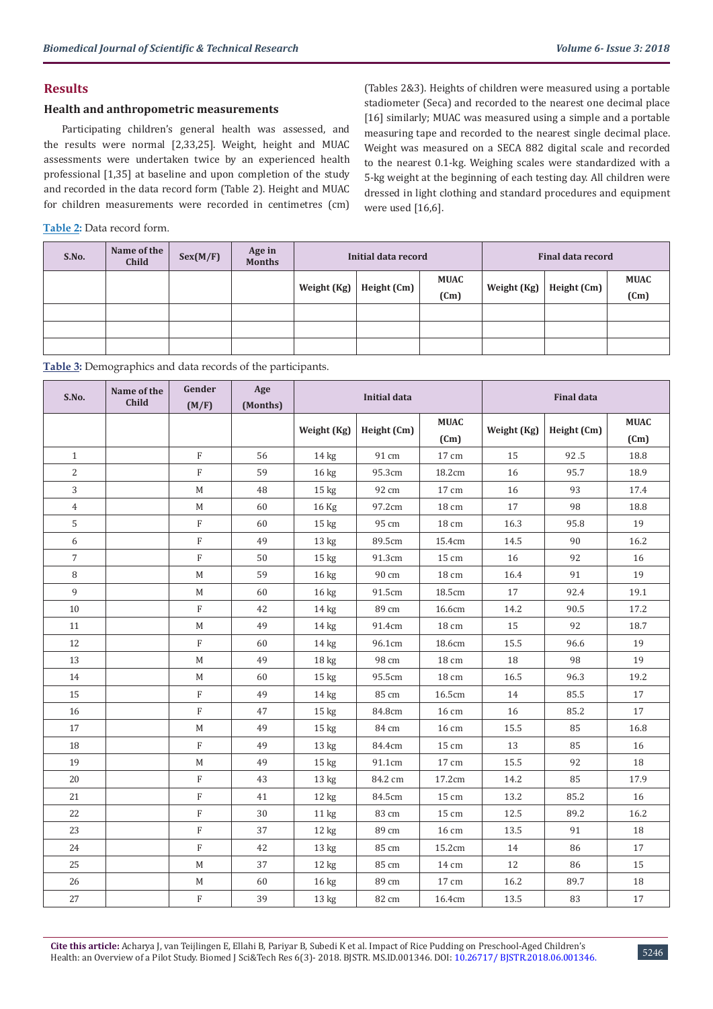**MUAC (Cm)**

# **Results**

### **Health and anthropometric measurements**

Participating children's general health was assessed, and the results were normal [2,33,25]. Weight, height and MUAC assessments were undertaken twice by an experienced health professional [1,35] at baseline and upon completion of the study and recorded in the data record form (Table 2). Height and MUAC for children measurements were recorded in centimetres (cm)

**Table 2:** Data record form.

**S.No. Name of the** 

(Tables 2&3). Heights of children were measured using a portable stadiometer (Seca) and recorded to the nearest one decimal place [16] similarly; MUAC was measured using a simple and a portable measuring tape and recorded to the nearest single decimal place. Weight was measured on a SECA 882 digital scale and recorded to the nearest 0.1-kg. Weighing scales were standardized with a 5-kg weight at the beginning of each testing day. All children were dressed in light clothing and standard procedures and equipment were used [16,6].

**(Cm) Weight (Kg) Height (Cm)**

**Initial data record Final data record** 

**MUAC**

**CSex(M/F) Age in Months** 

**Table 3:** Demographics and data records of the participants.

| S.No.          | Name of the<br>Child | Gender<br>(M/F) | Age<br>(Months) | <b>Initial data</b> |                | <b>Final data</b>   |             |             |                     |
|----------------|----------------------|-----------------|-----------------|---------------------|----------------|---------------------|-------------|-------------|---------------------|
|                |                      |                 |                 | Weight (Kg)         | Height (Cm)    | <b>MUAC</b><br>(Cm) | Weight (Kg) | Height (Cm) | <b>MUAC</b><br>(Cm) |
| $\mathbf{1}$   |                      | $\mathbf F$     | 56              | 14 <sub>kg</sub>    | 91 cm          | $17\,\mathrm{cm}$   | 15          | 92.5        | 18.8                |
| $\overline{2}$ |                      | $\rm F$         | 59              | 16 kg               | 95.3cm         | 18.2cm              | 16          | 95.7        | 18.9                |
| $\mathbf{3}$   |                      | $\mathbf M$     | 48              | 15 <sub>kg</sub>    | 92 cm          | 17 cm               | 16          | 93          | 17.4                |
| $\overline{4}$ |                      | $\mathbf M$     | 60              | 16 Kg               | 97.2cm         | 18 cm               | $17\,$      | 98          | 18.8                |
| 5              |                      | ${\rm F}$       | 60              | 15 <sub>kg</sub>    | 95 cm          | 18 cm               | 16.3        | 95.8        | 19                  |
| 6              |                      | $\mathbf F$     | 49              | 13 <sub>kg</sub>    | 89.5cm         | 15.4cm              | 14.5        | 90          | 16.2                |
| $\overline{7}$ |                      | $\rm F$         | 50              | $15 \text{ kg}$     | 91.3cm         | 15 cm               | 16          | 92          | 16                  |
| $\, 8$         |                      | $\mathbf M$     | 59              | 16 kg               | 90 cm          | 18 cm               | 16.4        | 91          | 19                  |
| 9              |                      | M               | 60              | $16 \text{ kg}$     | 91.5cm         | 18.5cm              | 17          | 92.4        | 19.1                |
| 10             |                      | $\rm F$         | 42              | $14$ kg             | 89 cm          | 16.6cm              | 14.2        | 90.5        | 17.2                |
| 11             |                      | M               | 49              | $14 \text{ kg}$     | 91.4cm         | 18 cm               | 15          | 92          | 18.7                |
| 12             |                      | $\rm F$         | 60              | 14 kg               | 96.1cm         | 18.6cm              | 15.5        | 96.6        | 19                  |
| 13             |                      | M               | 49              | 18 <sub>kg</sub>    | 98 cm          | 18 cm               | 18          | 98          | 19                  |
| 14             |                      | $\mathbf M$     | 60              | 15 <sub>kg</sub>    | 95.5cm         | 18 cm               | 16.5        | 96.3        | 19.2                |
| 15             |                      | $\rm F$         | 49              | $14$ kg             | 85 cm          | 16.5cm              | 14          | 85.5        | 17                  |
| 16             |                      | $\mathbf F$     | 47              | 15 <sub>kg</sub>    | 84.8cm         | 16 cm               | 16          | 85.2        | 17                  |
| 17             |                      | $\mathbf M$     | 49              | 15 <sub>kg</sub>    | 84 cm          | 16 cm               | 15.5        | 85          | 16.8                |
| 18             |                      | $\mathbf F$     | 49              | 13 <sub>kg</sub>    | 84.4cm         | 15 cm               | 13          | 85          | 16                  |
| 19             |                      | $\mathbf M$     | 49              | 15 <sub>kg</sub>    | 91.1cm         | 17 cm               | 15.5        | 92          | 18                  |
| 20             |                      | $\rm F$         | 43              | 13 kg               | 84.2 cm        | 17.2cm              | 14.2        | 85          | 17.9                |
| 21             |                      | $\mathbf F$     | 41              | 12 kg               | 84.5cm         | 15 cm               | 13.2        | 85.2        | 16                  |
| 22             |                      | $\rm F$         | 30              | 11 <sub>kg</sub>    | 83 cm          | 15 cm               | 12.5        | 89.2        | 16.2                |
| 23             |                      | $\rm F$         | 37              | 12 kg               | 89 cm          | 16 cm               | 13.5        | 91          | 18                  |
| 24             |                      | $\overline{F}$  | 42              | $13 \text{ kg}$     | 85 cm          | 15.2cm              | 14          | 86          | 17                  |
| 25             |                      | $\mathbf M$     | 37              | 12 kg               | $85\ {\rm cm}$ | 14 cm               | 12          | 86          | 15                  |
| 26             |                      | $\mathbf M$     | 60              | 16 kg               | 89 cm          | $17\,\mathrm{cm}$   | 16.2        | 89.7        | 18                  |
| 27             |                      | $\rm F$         | 39              | 13 <sub>kg</sub>    | 82 cm          | 16.4cm              | 13.5        | 83          | 17                  |

**Weight (Kg) Height (Cm)**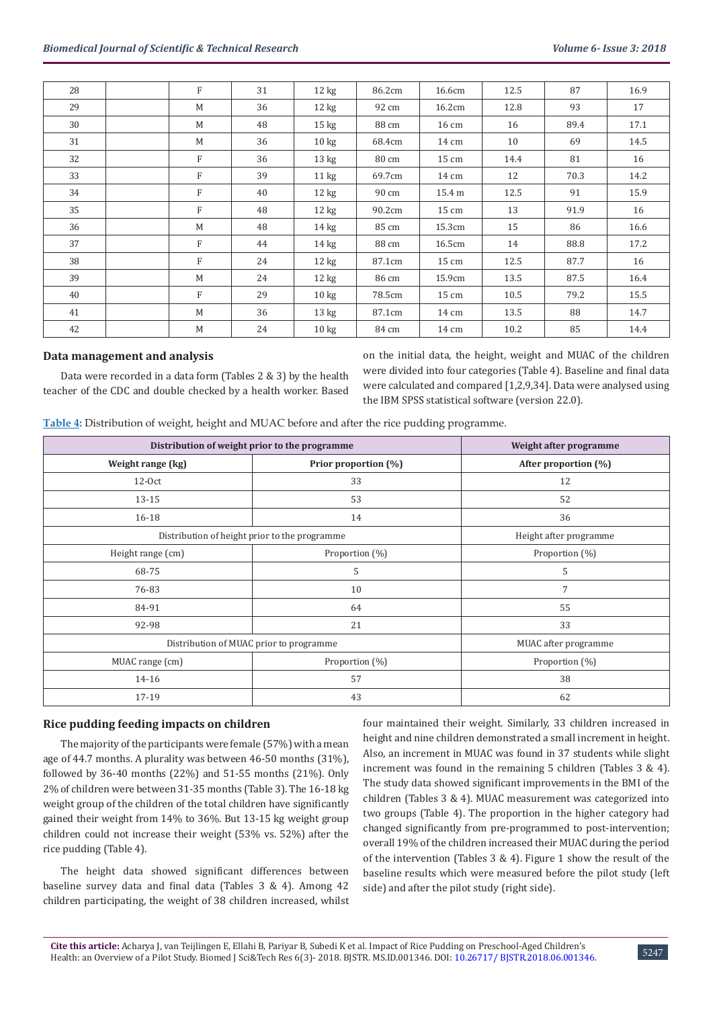| 28 | $_{\rm F}$ | 31 | $12 \text{ kg}$ | 86.2cm | 16.6cm | 12.5 | 87   | 16.9 |
|----|------------|----|-----------------|--------|--------|------|------|------|
| 29 | M          | 36 | $12 \text{ kg}$ | 92 cm  | 16.2cm | 12.8 | 93   | 17   |
| 30 | M          | 48 | $15 \text{ kg}$ | 88 cm  | 16 cm  | 16   | 89.4 | 17.1 |
| 31 | M          | 36 | $10 \text{ kg}$ | 68.4cm | 14 cm  | 10   | 69   | 14.5 |
| 32 | F          | 36 | $13 \text{ kg}$ | 80 cm  | 15 cm  | 14.4 | 81   | 16   |
| 33 | F          | 39 | $11 \text{ kg}$ | 69.7cm | 14 cm  | 12   | 70.3 | 14.2 |
| 34 | F          | 40 | $12 \text{ kg}$ | 90 cm  | 15.4 m | 12.5 | 91   | 15.9 |
| 35 | F          | 48 | $12 \text{ kg}$ | 90.2cm | 15 cm  | 13   | 91.9 | 16   |
| 36 | M          | 48 | $14 \text{ kg}$ | 85 cm  | 15.3cm | 15   | 86   | 16.6 |
| 37 | F          | 44 | $14 \text{ kg}$ | 88 cm  | 16.5cm | 14   | 88.8 | 17.2 |
| 38 | F          | 24 | $12 \text{ kg}$ | 87.1cm | 15 cm  | 12.5 | 87.7 | 16   |
| 39 | M          | 24 | $12 \text{ kg}$ | 86 cm  | 15.9cm | 13.5 | 87.5 | 16.4 |
| 40 | F          | 29 | $10 \text{ kg}$ | 78.5cm | 15 cm  | 10.5 | 79.2 | 15.5 |
| 41 | M          | 36 | $13 \text{ kg}$ | 87.1cm | 14 cm  | 13.5 | 88   | 14.7 |
| 42 | M          | 24 | $10 \text{ kg}$ | 84 cm  | 14 cm  | 10.2 | 85   | 14.4 |

## **Data management and analysis**

Data were recorded in a data form (Tables 2 & 3) by the health teacher of the CDC and double checked by a health worker. Based on the initial data, the height, weight and MUAC of the children were divided into four categories (Table 4). Baseline and final data were calculated and compared [1,2,9,34]. Data were analysed using the IBM SPSS statistical software (version 22.0).

**Table 4:** Distribution of weight, height and MUAC before and after the rice pudding programme.

| Distribution of weight prior to the programme | Weight after programme |                      |
|-----------------------------------------------|------------------------|----------------------|
| Weight range (kg)                             | Prior proportion (%)   | After proportion (%) |
| $12-0ct$                                      | 33                     | 12                   |
| 13-15                                         | 53                     | 52                   |
| 16-18                                         | 14                     | 36                   |
| Distribution of height prior to the programme | Height after programme |                      |
| Height range (cm)                             | Proportion (%)         | Proportion (%)       |
| 68-75                                         | 5                      | 5                    |
| 76-83                                         | 10                     | 7                    |
| 84-91                                         | 64                     | 55                   |
| 92-98                                         | 21                     | 33                   |
| Distribution of MUAC prior to programme       |                        | MUAC after programme |
| MUAC range (cm)                               | Proportion (%)         | Proportion (%)       |
| 14-16                                         | 57                     | 38                   |
| 17-19                                         | 43                     | 62                   |

## **Rice pudding feeding impacts on children**

The majority of the participants were female (57%) with a mean age of 44.7 months. A plurality was between 46-50 months (31%), followed by 36-40 months (22%) and 51-55 months (21%). Only 2% of children were between 31-35 months (Table 3). The 16-18 kg weight group of the children of the total children have significantly gained their weight from 14% to 36%. But 13-15 kg weight group children could not increase their weight (53% vs. 52%) after the rice pudding (Table 4).

The height data showed significant differences between baseline survey data and final data (Tables 3 & 4). Among 42 children participating, the weight of 38 children increased, whilst four maintained their weight. Similarly, 33 children increased in height and nine children demonstrated a small increment in height. Also, an increment in MUAC was found in 37 students while slight increment was found in the remaining 5 children (Tables 3 & 4). The study data showed significant improvements in the BMI of the children (Tables 3 & 4). MUAC measurement was categorized into two groups (Table 4). The proportion in the higher category had changed significantly from pre-programmed to post-intervention; overall 19% of the children increased their MUAC during the period of the intervention (Tables 3 & 4). Figure 1 show the result of the baseline results which were measured before the pilot study (left side) and after the pilot study (right side).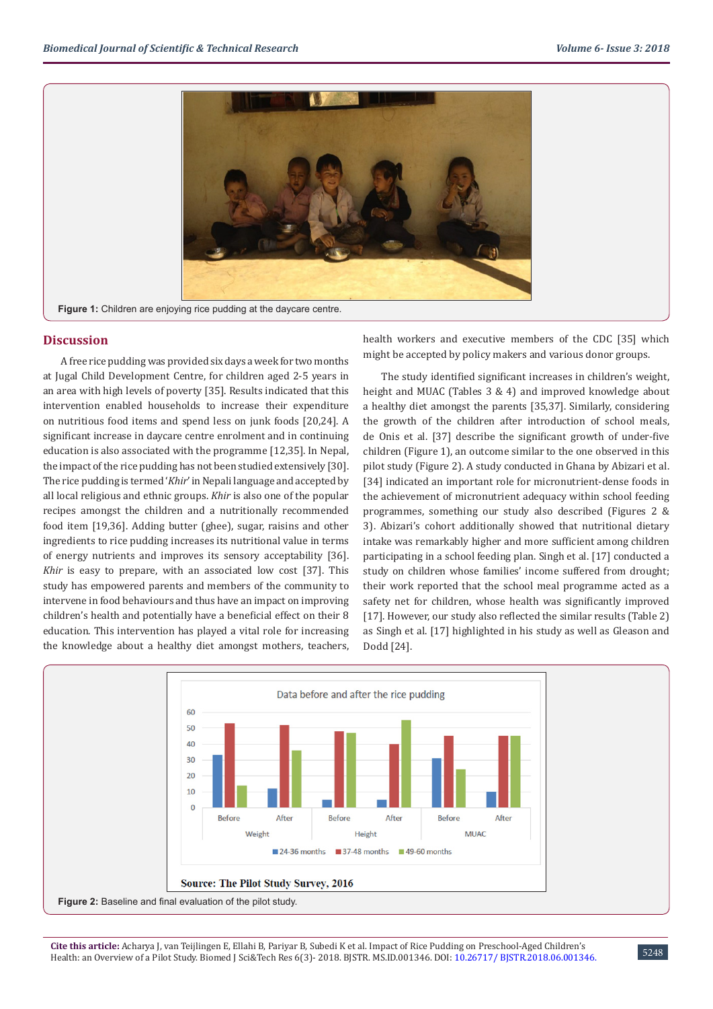

**Figure 1:** Children are enjoying rice pudding at the daycare centre.

# **Discussion**

A free rice pudding was provided six days a week for two months at Jugal Child Development Centre, for children aged 2-5 years in an area with high levels of poverty [35]. Results indicated that this intervention enabled households to increase their expenditure on nutritious food items and spend less on junk foods [20,24]. A significant increase in daycare centre enrolment and in continuing education is also associated with the programme [12,35]. In Nepal, the impact of the rice pudding has not been studied extensively [30]. The rice pudding is termed '*Khir*' in Nepali language and accepted by all local religious and ethnic groups. *Khir* is also one of the popular recipes amongst the children and a nutritionally recommended food item [19,36]. Adding butter (ghee), sugar, raisins and other ingredients to rice pudding increases its nutritional value in terms of energy nutrients and improves its sensory acceptability [36]. *Khir* is easy to prepare, with an associated low cost [37]. This study has empowered parents and members of the community to intervene in food behaviours and thus have an impact on improving children's health and potentially have a beneficial effect on their 8 education. This intervention has played a vital role for increasing the knowledge about a healthy diet amongst mothers, teachers,

health workers and executive members of the CDC [35] which might be accepted by policy makers and various donor groups.

The study identified significant increases in children's weight, height and MUAC (Tables 3 & 4) and improved knowledge about a healthy diet amongst the parents [35,37]. Similarly, considering the growth of the children after introduction of school meals, de Onis et al. [37] describe the significant growth of under-five children (Figure 1), an outcome similar to the one observed in this pilot study (Figure 2). A study conducted in Ghana by Abizari et al. [34] indicated an important role for micronutrient-dense foods in the achievement of micronutrient adequacy within school feeding programmes, something our study also described (Figures 2 & 3). Abizari's cohort additionally showed that nutritional dietary intake was remarkably higher and more sufficient among children participating in a school feeding plan. Singh et al. [17] conducted a study on children whose families' income suffered from drought; their work reported that the school meal programme acted as a safety net for children, whose health was significantly improved [17]. However, our study also reflected the similar results (Table 2) as Singh et al. [17] highlighted in his study as well as Gleason and Dodd [24].

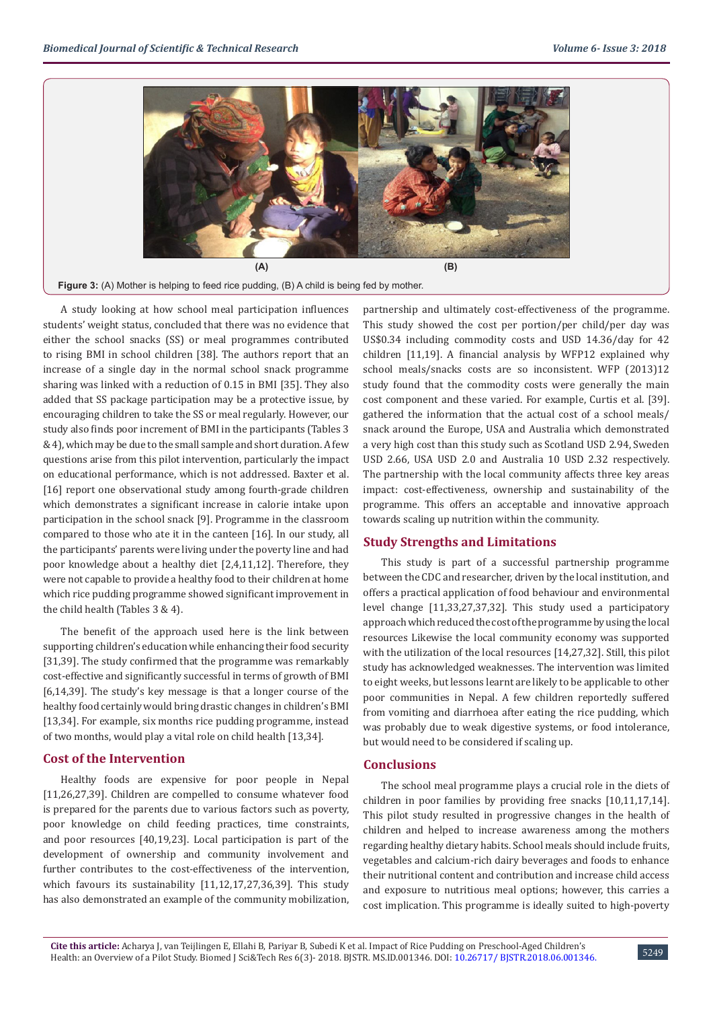

**Figure 3:** (A) Mother is helping to feed rice pudding, (B) A child is being fed by mother.

A study looking at how school meal participation influences students' weight status, concluded that there was no evidence that either the school snacks (SS) or meal programmes contributed to rising BMI in school children [38]. The authors report that an increase of a single day in the normal school snack programme sharing was linked with a reduction of 0.15 in BMI [35]. They also added that SS package participation may be a protective issue, by encouraging children to take the SS or meal regularly. However, our study also finds poor increment of BMI in the participants (Tables 3 & 4), which may be due to the small sample and short duration. A few questions arise from this pilot intervention, particularly the impact on educational performance, which is not addressed. Baxter et al. [16] report one observational study among fourth-grade children which demonstrates a significant increase in calorie intake upon participation in the school snack [9]. Programme in the classroom compared to those who ate it in the canteen [16]. In our study, all the participants' parents were living under the poverty line and had poor knowledge about a healthy diet [2,4,11,12]. Therefore, they were not capable to provide a healthy food to their children at home which rice pudding programme showed significant improvement in the child health (Tables 3 & 4).

The benefit of the approach used here is the link between supporting children's education while enhancing their food security [31,39]. The study confirmed that the programme was remarkably cost-effective and significantly successful in terms of growth of BMI [6,14,39]. The study's key message is that a longer course of the healthy food certainly would bring drastic changes in children's BMI [13,34]. For example, six months rice pudding programme, instead of two months, would play a vital role on child health [13,34].

## **Cost of the Intervention**

Healthy foods are expensive for poor people in Nepal [11,26,27,39]. Children are compelled to consume whatever food is prepared for the parents due to various factors such as poverty, poor knowledge on child feeding practices, time constraints, and poor resources [40,19,23]. Local participation is part of the development of ownership and community involvement and further contributes to the cost-effectiveness of the intervention, which favours its sustainability [11,12,17,27,36,39]. This study has also demonstrated an example of the community mobilization,

partnership and ultimately cost-effectiveness of the programme. This study showed the cost per portion/per child/per day was US\$0.34 including commodity costs and USD 14.36/day for 42 children [11,19]. A financial analysis by WFP12 explained why school meals/snacks costs are so inconsistent. WFP (2013)12 study found that the commodity costs were generally the main cost component and these varied. For example, Curtis et al. [39]. gathered the information that the actual cost of a school meals/ snack around the Europe, USA and Australia which demonstrated a very high cost than this study such as Scotland USD 2.94, Sweden USD 2.66, USA USD 2.0 and Australia 10 USD 2.32 respectively. The partnership with the local community affects three key areas impact: cost-effectiveness, ownership and sustainability of the programme. This offers an acceptable and innovative approach towards scaling up nutrition within the community.

# **Study Strengths and Limitations**

This study is part of a successful partnership programme between the CDC and researcher, driven by the local institution, and offers a practical application of food behaviour and environmental level change [11,33,27,37,32]. This study used a participatory approach which reduced the cost of the programme by using the local resources Likewise the local community economy was supported with the utilization of the local resources [14,27,32]. Still, this pilot study has acknowledged weaknesses. The intervention was limited to eight weeks, but lessons learnt are likely to be applicable to other poor communities in Nepal. A few children reportedly suffered from vomiting and diarrhoea after eating the rice pudding, which was probably due to weak digestive systems, or food intolerance, but would need to be considered if scaling up.

# **Conclusions**

The school meal programme plays a crucial role in the diets of children in poor families by providing free snacks [10,11,17,14]. This pilot study resulted in progressive changes in the health of children and helped to increase awareness among the mothers regarding healthy dietary habits. School meals should include fruits, vegetables and calcium-rich dairy beverages and foods to enhance their nutritional content and contribution and increase child access and exposure to nutritious meal options; however, this carries a cost implication. This programme is ideally suited to high-poverty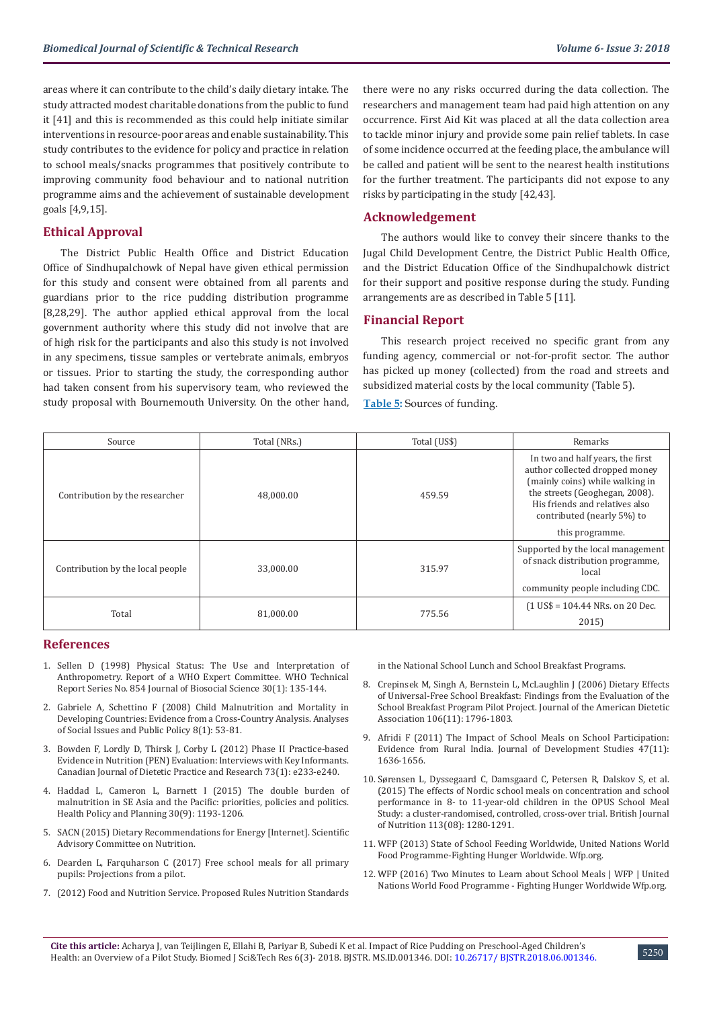areas where it can contribute to the child's daily dietary intake. The study attracted modest charitable donations from the public to fund it [41] and this is recommended as this could help initiate similar interventions in resource-poor areas and enable sustainability. This study contributes to the evidence for policy and practice in relation to school meals/snacks programmes that positively contribute to improving community food behaviour and to national nutrition programme aims and the achievement of sustainable development goals [4,9,15].

# **Ethical Approval**

The District Public Health Office and District Education Office of Sindhupalchowk of Nepal have given ethical permission for this study and consent were obtained from all parents and guardians prior to the rice pudding distribution programme [8,28,29]. The author applied ethical approval from the local government authority where this study did not involve that are of high risk for the participants and also this study is not involved in any specimens, tissue samples or vertebrate animals, embryos or tissues. Prior to starting the study, the corresponding author had taken consent from his supervisory team, who reviewed the study proposal with Bournemouth University. On the other hand,

there were no any risks occurred during the data collection. The researchers and management team had paid high attention on any occurrence. First Aid Kit was placed at all the data collection area to tackle minor injury and provide some pain relief tablets. In case of some incidence occurred at the feeding place, the ambulance will be called and patient will be sent to the nearest health institutions for the further treatment. The participants did not expose to any risks by participating in the study [42,43].

# **Acknowledgement**

The authors would like to convey their sincere thanks to the Jugal Child Development Centre, the District Public Health Office, and the District Education Office of the Sindhupalchowk district for their support and positive response during the study. Funding arrangements are as described in Table 5 [11].

# **Financial Report**

This research project received no specific grant from any funding agency, commercial or not-for-profit sector. The author has picked up money (collected) from the road and streets and subsidized material costs by the local community (Table 5).

**Table 5:** Sources of funding.

| Source                           | Total (NRs.) | Total (US\$) | Remarks                                                                                                                                                                                                                    |
|----------------------------------|--------------|--------------|----------------------------------------------------------------------------------------------------------------------------------------------------------------------------------------------------------------------------|
| Contribution by the researcher   | 48.000.00    | 459.59       | In two and half years, the first<br>author collected dropped money<br>(mainly coins) while walking in<br>the streets (Geoghegan, 2008).<br>His friends and relatives also<br>contributed (nearly 5%) to<br>this programme. |
| Contribution by the local people | 33.000.00    | 315.97       | Supported by the local management<br>of snack distribution programme,<br>local<br>community people including CDC.                                                                                                          |
| Total                            | 81,000.00    | 775.56       | $(1 \text{ US}\$ = 104.44 \text{ NRs.}$ on 20 Dec.<br>2015                                                                                                                                                                 |

#### **References**

- 1. [Sellen D \(1998\) Physical Status: The Use and Interpretation of](http://www.who.int/childgrowth/publications/physical_status/en/)  [Anthropometry. Report of a WHO Expert Committee. WHO Technical](http://www.who.int/childgrowth/publications/physical_status/en/)  [Report Series No. 854 Journal of Biosocial Science 30\(1\): 135-144.](http://www.who.int/childgrowth/publications/physical_status/en/)
- 2. [Gabriele A, Schettino F \(2008\) Child Malnutrition and Mortality in](https://spssi.onlinelibrary.wiley.com/doi/abs/10.1111/j.1530-2415.2008.00157.x)  [Developing Countries: Evidence from a Cross-Country Analysis. Analyses](https://spssi.onlinelibrary.wiley.com/doi/abs/10.1111/j.1530-2415.2008.00157.x)  [of Social Issues and Public Policy 8\(1\): 53-81.](https://spssi.onlinelibrary.wiley.com/doi/abs/10.1111/j.1530-2415.2008.00157.x)
- 3. [Bowden F, Lordly D, Thirsk J, Corby L \(2012\) Phase II Practice-based](https://www.ncbi.nlm.nih.gov/pubmed/22397961)  [Evidence in Nutrition \(PEN\) Evaluation: Interviews with Key Informants.](https://www.ncbi.nlm.nih.gov/pubmed/22397961)  [Canadian Journal of Dietetic Practice and Research 73\(1\): e233-e240.](https://www.ncbi.nlm.nih.gov/pubmed/22397961)
- 4. [Haddad L, Cameron L, Barnett I \(2015\) The double burden of](https://www.ncbi.nlm.nih.gov/pubmed/25324529)  [malnutrition in SE Asia and the Pacific: priorities, policies and politics.](https://www.ncbi.nlm.nih.gov/pubmed/25324529)  [Health Policy and Planning 30\(9\): 1193-1206.](https://www.ncbi.nlm.nih.gov/pubmed/25324529)
- 5. SACN (2015) Dietary Recommendations for Energy [Internet]. Scientific Advisory Committee on Nutrition.
- 6. [Dearden L, Farquharson C \(2017\) Free school meals for all primary](https://www.ifs.org.uk/publications/9202)  [pupils: Projections from a pilot.](https://www.ifs.org.uk/publications/9202)
- 7. [\(2012\) Food and Nutrition Service. Proposed Rules Nutrition Standards](https://www.federalregister.gov/documents/2012/01/26/2012-1010/nutrition-standards-in-the-national-school-lunch-and-school-breakfast-programs)

[in the National School Lunch and School Breakfast Programs.](https://www.federalregister.gov/documents/2012/01/26/2012-1010/nutrition-standards-in-the-national-school-lunch-and-school-breakfast-programs)

- 8. [Crepinsek M, Singh A, Bernstein L, McLaughlin J \(2006\) Dietary Effects](https://www.ncbi.nlm.nih.gov/pubmed/17081831) [of Universal-Free School Breakfast: Findings from the Evaluation of the](https://www.ncbi.nlm.nih.gov/pubmed/17081831) [School Breakfast Program Pilot Project. Journal of the American Dietetic](https://www.ncbi.nlm.nih.gov/pubmed/17081831) [Association 106\(11\): 1796-1803.](https://www.ncbi.nlm.nih.gov/pubmed/17081831)
- 9. [Afridi F \(2011\) The Impact of School Meals on School Participation:](https://www.tandfonline.com/doi/abs/10.1080/00220388.2010.514330) [Evidence from Rural India. Journal of Development Studies 47\(11\):](https://www.tandfonline.com/doi/abs/10.1080/00220388.2010.514330) [1636-1656.](https://www.tandfonline.com/doi/abs/10.1080/00220388.2010.514330)
- 10. [Sørensen L, Dyssegaard C, Damsgaard C, Petersen R, Dalskov S, et al.](https://www.ncbi.nlm.nih.gov/pubmed/25791747) [\(2015\) The effects of Nordic school meals on concentration and school](https://www.ncbi.nlm.nih.gov/pubmed/25791747) [performance in 8- to 11-year-old children in the OPUS School Meal](https://www.ncbi.nlm.nih.gov/pubmed/25791747) [Study: a cluster-randomised, controlled, cross-over trial. British Journal](https://www.ncbi.nlm.nih.gov/pubmed/25791747) [of Nutrition 113\(08\): 1280-1291.](https://www.ncbi.nlm.nih.gov/pubmed/25791747)
- 11. [WFP \(2013\) State of School Feeding Worldwide, United Nations World](https://www.wfp.org/content/state-school-feeding-worldwide-2013) [Food Programme-Fighting Hunger Worldwide. Wfp.org.](https://www.wfp.org/content/state-school-feeding-worldwide-2013)
- 12. [WFP \(2016\) Two Minutes to Learn about School Meals | WFP | United](https://www.wfp.org/content/two-minutes-learn-about-school-meals) [Nations World Food Programme - Fighting Hunger Worldwide Wfp.org.](https://www.wfp.org/content/two-minutes-learn-about-school-meals)